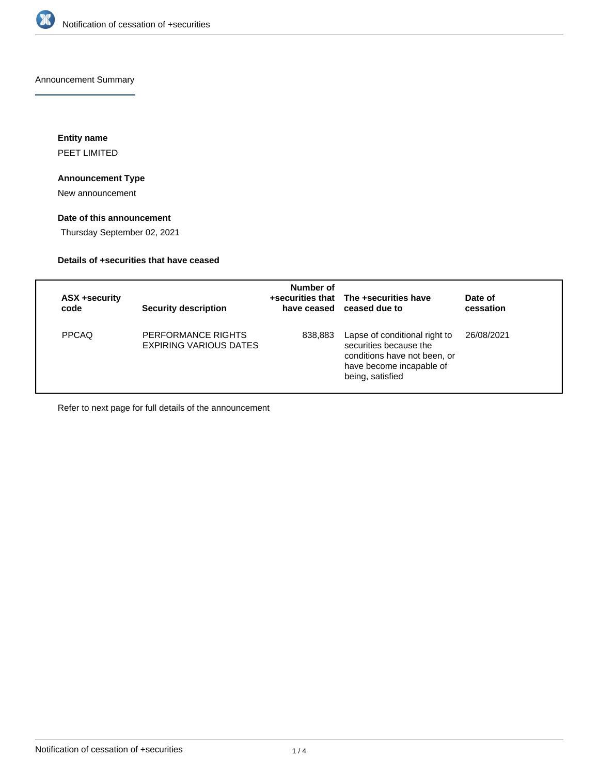

Announcement Summary

**Entity name** PEET LIMITED

### **Announcement Type**

New announcement

## **Date of this announcement**

Thursday September 02, 2021

## **Details of +securities that have ceased**

| ASX +security<br>code | <b>Security description</b>                         | Number of | +securities that The +securities have<br>have ceased ceased due to                                                                      | Date of<br>cessation |
|-----------------------|-----------------------------------------------------|-----------|-----------------------------------------------------------------------------------------------------------------------------------------|----------------------|
| <b>PPCAQ</b>          | PERFORMANCE RIGHTS<br><b>EXPIRING VARIOUS DATES</b> | 838,883   | Lapse of conditional right to<br>securities because the<br>conditions have not been, or<br>have become incapable of<br>being, satisfied | 26/08/2021           |

Refer to next page for full details of the announcement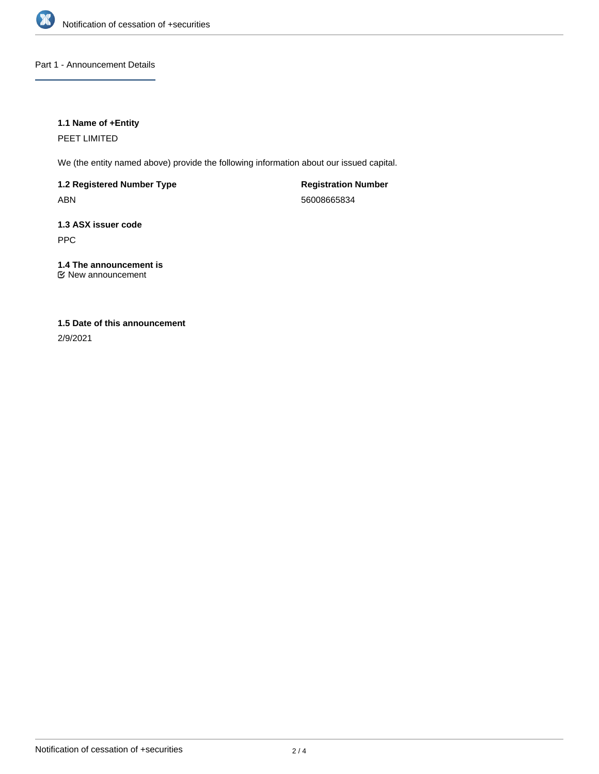

Part 1 - Announcement Details

## **1.1 Name of +Entity**

PEET LIMITED

We (the entity named above) provide the following information about our issued capital.

**1.2 Registered Number Type** ABN

**Registration Number** 56008665834

**1.3 ASX issuer code** PPC

**1.4 The announcement is** New announcement

# **1.5 Date of this announcement**

2/9/2021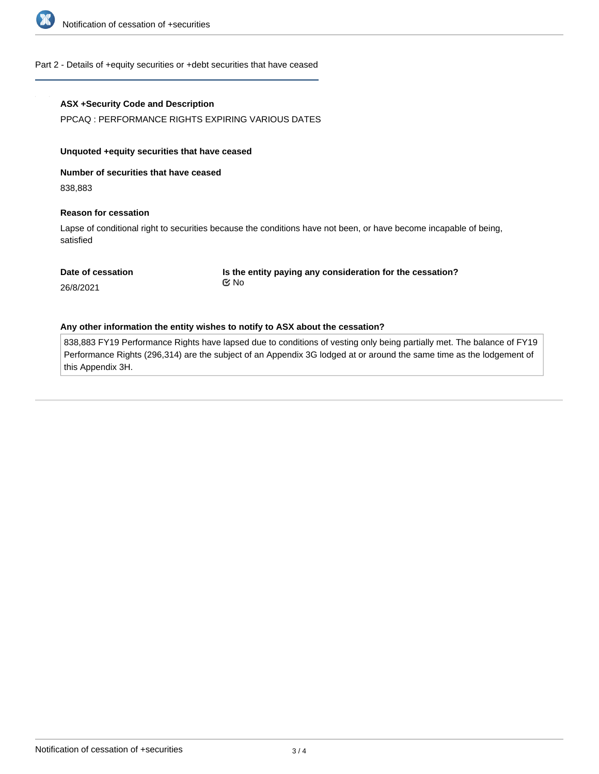

#### Part 2 - Details of +equity securities or +debt securities that have ceased

#### **ASX +Security Code and Description**

PPCAQ : PERFORMANCE RIGHTS EXPIRING VARIOUS DATES

#### **Unquoted +equity securities that have ceased**

**Number of securities that have ceased**

838,883

#### **Reason for cessation**

Lapse of conditional right to securities because the conditions have not been, or have become incapable of being, satisfied

|  | Date of cessation |
|--|-------------------|
|--|-------------------|

**Is the entity paying any consideration for the cessation?** No

26/8/2021

#### **Any other information the entity wishes to notify to ASX about the cessation?**

838,883 FY19 Performance Rights have lapsed due to conditions of vesting only being partially met. The balance of FY19 Performance Rights (296,314) are the subject of an Appendix 3G lodged at or around the same time as the lodgement of this Appendix 3H.